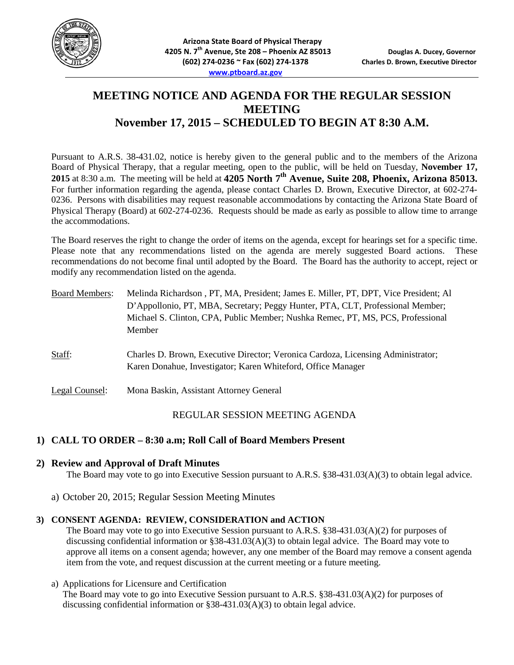

# **MEETING NOTICE AND AGENDA FOR THE REGULAR SESSION MEETING November 17, 2015 – SCHEDULED TO BEGIN AT 8:30 A.M.**

Pursuant to A.R.S. 38-431.02, notice is hereby given to the general public and to the members of the Arizona Board of Physical Therapy, that a regular meeting, open to the public, will be held on Tuesday, **November 17, 2015** at 8:30 a.m. The meeting will be held at **4205 North 7th Avenue, Suite 208, Phoenix, Arizona 85013.**  For further information regarding the agenda, please contact Charles D. Brown, Executive Director, at 602-274-0236. Persons with disabilities may request reasonable accommodations by contacting the Arizona State Board of Physical Therapy (Board) at 602-274-0236. Requests should be made as early as possible to allow time to arrange the accommodations.

The Board reserves the right to change the order of items on the agenda, except for hearings set for a specific time. Please note that any recommendations listed on the agenda are merely suggested Board actions. These recommendations do not become final until adopted by the Board. The Board has the authority to accept, reject or modify any recommendation listed on the agenda.

| <b>Board Members:</b> | Melinda Richardson, PT, MA, President; James E. Miller, PT, DPT, Vice President; Al<br>D'Appollonio, PT, MBA, Secretary; Peggy Hunter, PTA, CLT, Professional Member;<br>Michael S. Clinton, CPA, Public Member; Nushka Remec, PT, MS, PCS, Professional<br>Member |
|-----------------------|--------------------------------------------------------------------------------------------------------------------------------------------------------------------------------------------------------------------------------------------------------------------|
| Staff:                | Charles D. Brown, Executive Director; Veronica Cardoza, Licensing Administrator;<br>Karen Donahue, Investigator; Karen Whiteford, Office Manager                                                                                                                   |
| Legal Counsel:        | Mona Baskin, Assistant Attorney General                                                                                                                                                                                                                            |

## REGULAR SESSION MEETING AGENDA

## **1) CALL TO ORDER – 8:30 a.m; Roll Call of Board Members Present**

## **2) Review and Approval of Draft Minutes**

The Board may vote to go into Executive Session pursuant to A.R.S. §38-431.03(A)(3) to obtain legal advice.

a) October 20, 2015; Regular Session Meeting Minutes

#### **3) CONSENT AGENDA: REVIEW, CONSIDERATION and ACTION**

The Board may vote to go into Executive Session pursuant to A.R.S. §38-431.03(A)(2) for purposes of discussing confidential information or §38-431.03(A)(3) to obtain legal advice. The Board may vote to approve all items on a consent agenda; however, any one member of the Board may remove a consent agenda item from the vote, and request discussion at the current meeting or a future meeting.

#### a) Applications for Licensure and Certification

The Board may vote to go into Executive Session pursuant to A.R.S. §38-431.03(A)(2) for purposes of discussing confidential information or §38-431.03(A)(3) to obtain legal advice.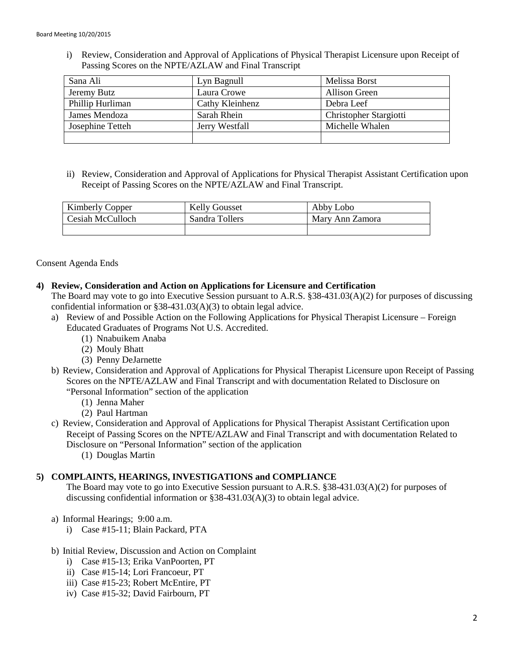i) Review, Consideration and Approval of Applications of Physical Therapist Licensure upon Receipt of Passing Scores on the NPTE/AZLAW and Final Transcript

| Sana Ali         | Lyn Bagnull     | Melissa Borst          |
|------------------|-----------------|------------------------|
| Jeremy Butz      | Laura Crowe     | <b>Allison Green</b>   |
| Phillip Hurliman | Cathy Kleinhenz | Debra Leef             |
| James Mendoza    | Sarah Rhein     | Christopher Stargiotti |
| Josephine Tetteh | Jerry Westfall  | Michelle Whalen        |
|                  |                 |                        |

ii) Review, Consideration and Approval of Applications for Physical Therapist Assistant Certification upon Receipt of Passing Scores on the NPTE/AZLAW and Final Transcript.

| <b>Kimberly Copper</b> | <b>Kelly Gousset</b> | Abby Lobo       |
|------------------------|----------------------|-----------------|
| Cesiah McCulloch       | Sandra Tollers       | Mary Ann Zamora |
|                        |                      |                 |

## Consent Agenda Ends

#### **4) Review, Consideration and Action on Applications for Licensure and Certification**

The Board may vote to go into Executive Session pursuant to A.R.S. §38-431.03(A)(2) for purposes of discussing confidential information or §38-431.03(A)(3) to obtain legal advice.

- a) Review of and Possible Action on the Following Applications for Physical Therapist Licensure Foreign Educated Graduates of Programs Not U.S. Accredited.
	- (1) Nnabuikem Anaba
	- (2) Mouly Bhatt
	- (3) Penny DeJarnette
- b) Review, Consideration and Approval of Applications for Physical Therapist Licensure upon Receipt of Passing Scores on the NPTE/AZLAW and Final Transcript and with documentation Related to Disclosure on "Personal Information" section of the application
	- (1) Jenna Maher
	- (2) Paul Hartman
- c) Review, Consideration and Approval of Applications for Physical Therapist Assistant Certification upon Receipt of Passing Scores on the NPTE/AZLAW and Final Transcript and with documentation Related to Disclosure on "Personal Information" section of the application
	- (1) Douglas Martin

## **5) COMPLAINTS, HEARINGS, INVESTIGATIONS and COMPLIANCE**

The Board may vote to go into Executive Session pursuant to A.R.S. §38-431.03(A)(2) for purposes of discussing confidential information or §38-431.03(A)(3) to obtain legal advice.

- a) Informal Hearings; 9:00 a.m.
	- i) Case #15-11; Blain Packard, PTA
- b) Initial Review, Discussion and Action on Complaint
	- i) Case #15-13; Erika VanPoorten, PT
	- ii) Case #15-14; Lori Francoeur, PT
	- iii) Case #15-23; Robert McEntire, PT
	- iv) Case #15-32; David Fairbourn, PT